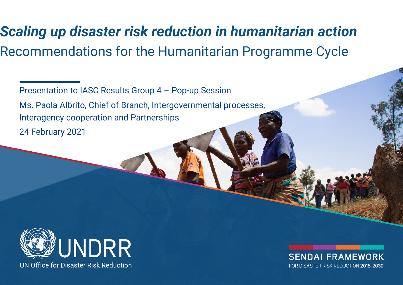# *Scaling up disaster risk reduction in humanitarian action* Recommendations for the Humanitarian Programme Cycle

Presentation to IASC Results Group 4 – Pop-up Session Ms. Paola Albrito, Chief of Branch, Intergovernmental processes, Interagency cooperation and Partnerships 24 February 2021



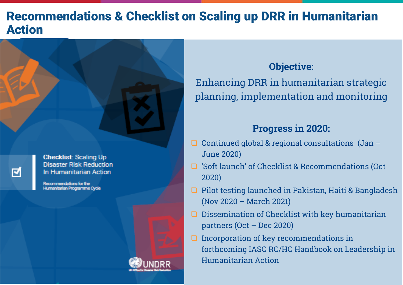#### Recommendations & Checklist on Scaling up DRR in Humanitarian Action



**Checklist: Scaling Up Disaster Risk Reduction** In Humanitarian Action

Recommendations for the Humanitarian Programme Ovole



#### **Objective:**

Enhancing DRR in humanitarian strategic planning, implementation and monitoring

#### **Progress in 2020:**

- $\Box$  Continued global & regional consultations (Jan June 2020)
- **□** 'Soft launch' of Checklist & Recommendations (Oct) 2020)
- $\Box$  Pilot testing launched in Pakistan, Haiti & Bangladesh (Nov 2020 – March 2021)
- $\Box$  Dissemination of Checklist with key humanitarian partners (Oct – Dec 2020)
- Incorporation of key recommendations in forthcoming IASC RC/HC Handbook on Leadership in Humanitarian Action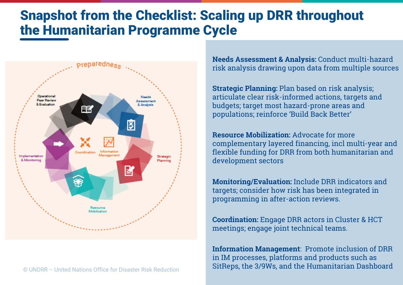# Snapshot from the Checklist: Scaling up DRR throughout the Humanitarian Programme Cycle



© UNDRR – United Nations Office for Disaster Risk Reduction

**Needs Assessment & Analysis:** Conduct multi-hazard risk analysis drawing upon data from multiple sources

**Strategic Planning:** Plan based on risk analysis; articulate clear risk-informed actions, targets and budgets; target most hazard-prone areas and populations; reinforce 'Build Back Better'

**Resource Mobilization:** Advocate for more complementary layered financing, incl multi-year and flexible funding for DRR from both humanitarian and development sectors

**Monitoring/Evaluation:** Include DRR indicators and targets; consider how risk has been integrated in programming in after-action reviews.

**Coordination:** Engage DRR actors in Cluster & HCT meetings; engage joint technical teams.

**Information Management**: Promote inclusion of DRR in IM processes, platforms and products such as SitReps, the 3/9Ws, and the Humanitarian Dashboard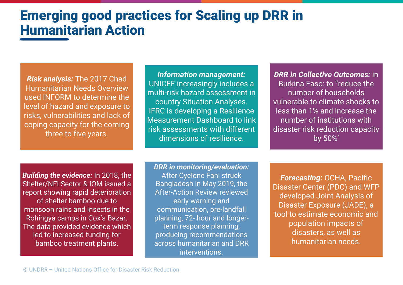# Emerging good practices for Scaling up DRR in Humanitarian Action

*Risk analysis:* The 2017 Chad Humanitarian Needs Overview used INFORM to determine the level of hazard and exposure to risks, vulnerabilities and lack of coping capacity for the coming three to five years.

*Information management:*  UNICEF increasingly includes a multi-risk hazard assessment in country Situation Analyses. IFRC is developing a Resilience Measurement Dashboard to link risk assessments with different dimensions of resilience.

*DRR in Collective Outcomes:* in Burkina Faso: to "reduce the number of households vulnerable to climate shocks to less than 1% and increase the number of institutions with disaster risk reduction capacity by 50%'

*Building the evidence:* In 2018, the Shelter/NFI Sector & IOM issued a report showing rapid deterioration of shelter bamboo due to monsoon rains and insects in the Rohingya camps in Cox's Bazar. The data provided evidence which led to increased funding for bamboo treatment plants.

*DRR in monitoring/evaluation:*  After Cyclone Fani struck Bangladesh in May 2019, the After-Action Review reviewed early warning and communication, pre-landfall planning, 72- hour and longerterm response planning, producing recommendations across humanitarian and DRR interventions.

*Forecasting: OCHA, Pacific* Disaster Center (PDC) and WFP developed Joint Analysis of Disaster Exposure (JADE), a tool to estimate economic and population impacts of disasters, as well as humanitarian needs.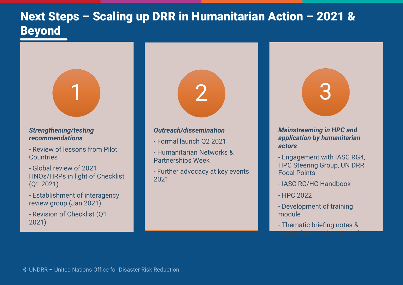### Next Steps – Scaling up DRR in Humanitarian Action – 2021 & Beyond



#### *Strengthening/testing recommendations*

- Review of lessons from Pilot **Countries**
- Global review of 2021 HNOs/HRPs in light of Checklist (Q1 2021)
- Establishment of interagency review group (Jan 2021)
- Revision of Checklist (Q1 2021)



- Formal launch Q2 2021
- Humanitarian Networks & Partnerships Week
- Further advocacy at key events 2021

2



#### *application by humanitarian actors*

- Engagement with IASC RG4, HPC Steering Group, UN DRR Focal Points
- IASC RC/HC Handbook
- HPC 2022
- Development of training module
- Thematic briefing notes & regional events (Q3-4 2021)